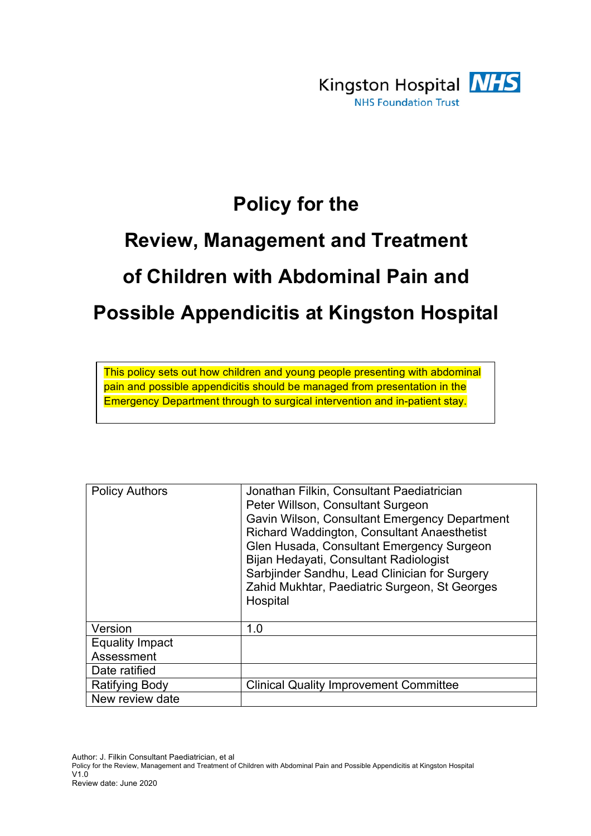

## **Policy for the**

# **Review, Management and Treatment of Children with Abdominal Pain and Possible Appendicitis at Kingston Hospital**

This policy sets out how children and young people presenting with abdominal pain and possible appendicitis should be managed from presentation in the Emergency Department through to surgical intervention and in-patient stay.

| <b>Policy Authors</b>  | Jonathan Filkin, Consultant Paediatrician                                                                                                                                                                                                                                                         |
|------------------------|---------------------------------------------------------------------------------------------------------------------------------------------------------------------------------------------------------------------------------------------------------------------------------------------------|
|                        | Peter Willson, Consultant Surgeon                                                                                                                                                                                                                                                                 |
|                        | Gavin Wilson, Consultant Emergency Department<br>Richard Waddington, Consultant Anaesthetist<br>Glen Husada, Consultant Emergency Surgeon<br>Bijan Hedayati, Consultant Radiologist<br>Sarbjinder Sandhu, Lead Clinician for Surgery<br>Zahid Mukhtar, Paediatric Surgeon, St Georges<br>Hospital |
| Version                | 1.0                                                                                                                                                                                                                                                                                               |
| <b>Equality Impact</b> |                                                                                                                                                                                                                                                                                                   |
| Assessment             |                                                                                                                                                                                                                                                                                                   |
| Date ratified          |                                                                                                                                                                                                                                                                                                   |
| Ratifying Body         | <b>Clinical Quality Improvement Committee</b>                                                                                                                                                                                                                                                     |
| New review date        |                                                                                                                                                                                                                                                                                                   |

Author: J. Filkin Consultant Paediatrician, et al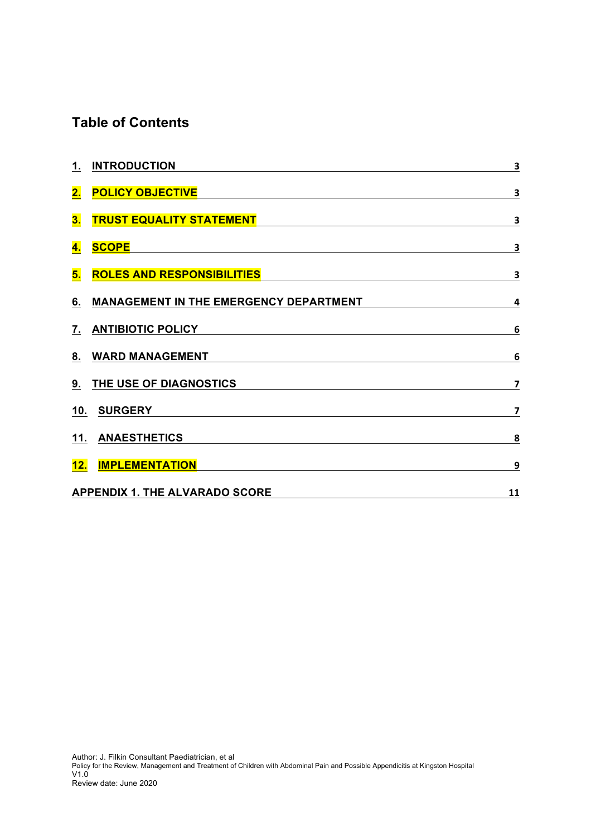### **Table of Contents**

| 1. INTRODUCTION                                                                                                        | $\overline{\mathbf{3}}$ |  |
|------------------------------------------------------------------------------------------------------------------------|-------------------------|--|
| <u>2. POLICY OBJECTIVE</u>                                                                                             | $\overline{\mathbf{3}}$ |  |
| <u>3. TRUST EQUALITY STATEMENT EXAMPLE AND THE STATE STATE STATE STATE STATE STATE STATE STATE STATE STATE STATE S</u> | $\overline{\mathbf{3}}$ |  |
|                                                                                                                        | $\overline{\mathbf{3}}$ |  |
| 5. ROLES AND RESPONSIBILITIES                                                                                          | $\overline{\mathbf{3}}$ |  |
| 6. MANAGEMENT IN THE EMERGENCY DEPARTMENT                                                                              | $\overline{\mathbf{4}}$ |  |
| 7. ANTIBIOTIC POLICY                                                                                                   | $6\phantom{1}6$         |  |
| 8. WARD MANAGEMENT                                                                                                     | $6\phantom{1}6$         |  |
| 9. THE USE OF DIAGNOSTICS                                                                                              | $\overline{\mathbf{z}}$ |  |
|                                                                                                                        | $\overline{\mathbf{z}}$ |  |
| 11. ANAESTHETICS                                                                                                       | 8                       |  |
| 12. IMPLEMENTATION AND ACCOUNTS AND ALL AND ACCOUNTS AND ALL AND ACCOUNTS AND ALL AND ACCOUNTS AND ACCOUNTS AND A      | 9                       |  |
| <b>APPENDIX 1. THE ALVARADO SCORE</b>                                                                                  | 11                      |  |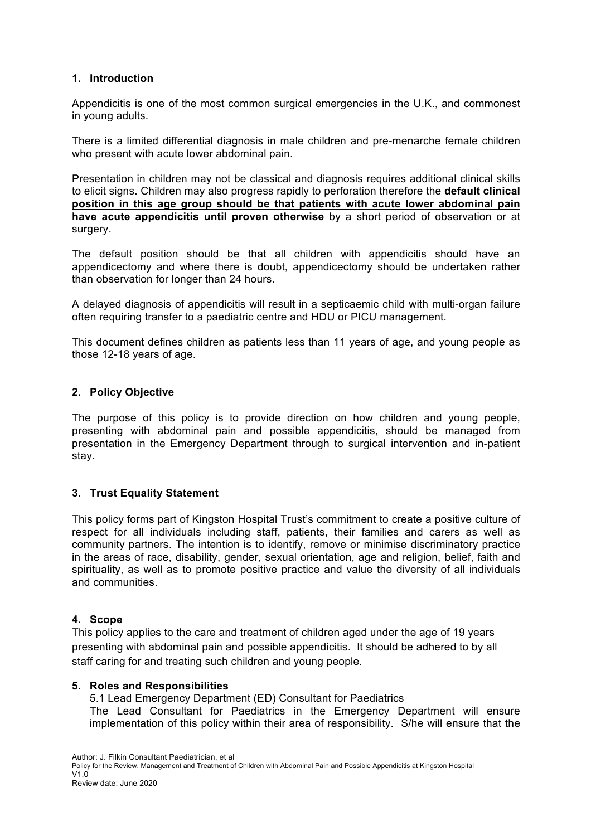#### **1. Introduction**

Appendicitis is one of the most common surgical emergencies in the U.K., and commonest in young adults.

There is a limited differential diagnosis in male children and pre-menarche female children who present with acute lower abdominal pain.

Presentation in children may not be classical and diagnosis requires additional clinical skills to elicit signs. Children may also progress rapidly to perforation therefore the **default clinical position in this age group should be that patients with acute lower abdominal pain have acute appendicitis until proven otherwise** by a short period of observation or at surgery.

The default position should be that all children with appendicitis should have an appendicectomy and where there is doubt, appendicectomy should be undertaken rather than observation for longer than 24 hours.

A delayed diagnosis of appendicitis will result in a septicaemic child with multi-organ failure often requiring transfer to a paediatric centre and HDU or PICU management.

This document defines children as patients less than 11 years of age, and young people as those 12-18 years of age.

#### **2. Policy Objective**

The purpose of this policy is to provide direction on how children and young people, presenting with abdominal pain and possible appendicitis, should be managed from presentation in the Emergency Department through to surgical intervention and in-patient stay.

#### **3. Trust Equality Statement**

This policy forms part of Kingston Hospital Trust's commitment to create a positive culture of respect for all individuals including staff, patients, their families and carers as well as community partners. The intention is to identify, remove or minimise discriminatory practice in the areas of race, disability, gender, sexual orientation, age and religion, belief, faith and spirituality, as well as to promote positive practice and value the diversity of all individuals and communities.

#### **4. Scope**

This policy applies to the care and treatment of children aged under the age of 19 years presenting with abdominal pain and possible appendicitis. It should be adhered to by all staff caring for and treating such children and young people.

#### **5. Roles and Responsibilities**

5.1 Lead Emergency Department (ED) Consultant for Paediatrics The Lead Consultant for Paediatrics in the Emergency Department will ensure implementation of this policy within their area of responsibility. S/he will ensure that the

Author: J. Filkin Consultant Paediatrician, et al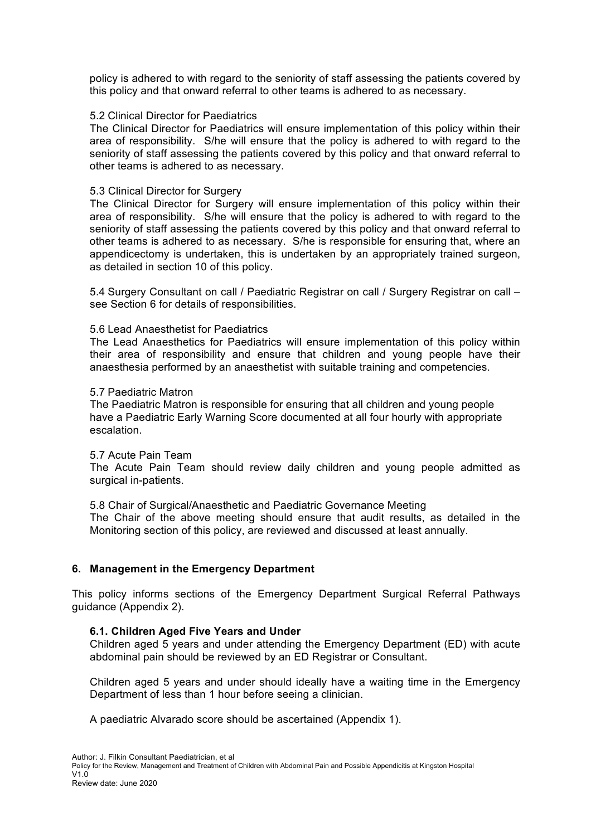policy is adhered to with regard to the seniority of staff assessing the patients covered by this policy and that onward referral to other teams is adhered to as necessary.

#### 5.2 Clinical Director for Paediatrics

The Clinical Director for Paediatrics will ensure implementation of this policy within their area of responsibility. S/he will ensure that the policy is adhered to with regard to the seniority of staff assessing the patients covered by this policy and that onward referral to other teams is adhered to as necessary.

#### 5.3 Clinical Director for Surgery

The Clinical Director for Surgery will ensure implementation of this policy within their area of responsibility. S/he will ensure that the policy is adhered to with regard to the seniority of staff assessing the patients covered by this policy and that onward referral to other teams is adhered to as necessary. S/he is responsible for ensuring that, where an appendicectomy is undertaken, this is undertaken by an appropriately trained surgeon, as detailed in section 10 of this policy.

5.4 Surgery Consultant on call / Paediatric Registrar on call / Surgery Registrar on call – see Section 6 for details of responsibilities.

#### 5.6 Lead Anaesthetist for Paediatrics

The Lead Anaesthetics for Paediatrics will ensure implementation of this policy within their area of responsibility and ensure that children and young people have their anaesthesia performed by an anaesthetist with suitable training and competencies.

#### 5.7 Paediatric Matron

The Paediatric Matron is responsible for ensuring that all children and young people have a Paediatric Early Warning Score documented at all four hourly with appropriate escalation.

#### 5.7 Acute Pain Team

The Acute Pain Team should review daily children and young people admitted as surgical in-patients.

5.8 Chair of Surgical/Anaesthetic and Paediatric Governance Meeting The Chair of the above meeting should ensure that audit results, as detailed in the Monitoring section of this policy, are reviewed and discussed at least annually.

#### **6. Management in the Emergency Department**

This policy informs sections of the Emergency Department Surgical Referral Pathways guidance (Appendix 2).

#### **6.1. Children Aged Five Years and Under**

Children aged 5 years and under attending the Emergency Department (ED) with acute abdominal pain should be reviewed by an ED Registrar or Consultant.

Children aged 5 years and under should ideally have a waiting time in the Emergency Department of less than 1 hour before seeing a clinician.

A paediatric Alvarado score should be ascertained (Appendix 1).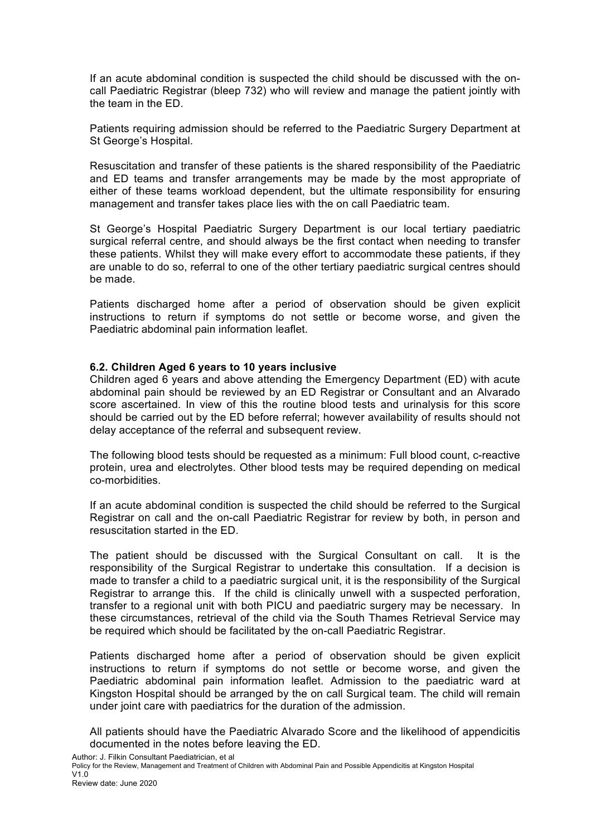If an acute abdominal condition is suspected the child should be discussed with the oncall Paediatric Registrar (bleep 732) who will review and manage the patient jointly with the team in the ED.

Patients requiring admission should be referred to the Paediatric Surgery Department at St George's Hospital.

Resuscitation and transfer of these patients is the shared responsibility of the Paediatric and ED teams and transfer arrangements may be made by the most appropriate of either of these teams workload dependent, but the ultimate responsibility for ensuring management and transfer takes place lies with the on call Paediatric team.

St George's Hospital Paediatric Surgery Department is our local tertiary paediatric surgical referral centre, and should always be the first contact when needing to transfer these patients. Whilst they will make every effort to accommodate these patients, if they are unable to do so, referral to one of the other tertiary paediatric surgical centres should be made.

Patients discharged home after a period of observation should be given explicit instructions to return if symptoms do not settle or become worse, and given the Paediatric abdominal pain information leaflet.

#### **6.2. Children Aged 6 years to 10 years inclusive**

Children aged 6 years and above attending the Emergency Department (ED) with acute abdominal pain should be reviewed by an ED Registrar or Consultant and an Alvarado score ascertained. In view of this the routine blood tests and urinalysis for this score should be carried out by the ED before referral; however availability of results should not delay acceptance of the referral and subsequent review.

The following blood tests should be requested as a minimum: Full blood count, c-reactive protein, urea and electrolytes. Other blood tests may be required depending on medical co-morbidities.

If an acute abdominal condition is suspected the child should be referred to the Surgical Registrar on call and the on-call Paediatric Registrar for review by both, in person and resuscitation started in the ED.

The patient should be discussed with the Surgical Consultant on call. It is the responsibility of the Surgical Registrar to undertake this consultation. If a decision is made to transfer a child to a paediatric surgical unit, it is the responsibility of the Surgical Registrar to arrange this. If the child is clinically unwell with a suspected perforation, transfer to a regional unit with both PICU and paediatric surgery may be necessary. In these circumstances, retrieval of the child via the South Thames Retrieval Service may be required which should be facilitated by the on-call Paediatric Registrar.

Patients discharged home after a period of observation should be given explicit instructions to return if symptoms do not settle or become worse, and given the Paediatric abdominal pain information leaflet. Admission to the paediatric ward at Kingston Hospital should be arranged by the on call Surgical team. The child will remain under joint care with paediatrics for the duration of the admission.

All patients should have the Paediatric Alvarado Score and the likelihood of appendicitis documented in the notes before leaving the ED.

Author: J. Filkin Consultant Paediatrician, et al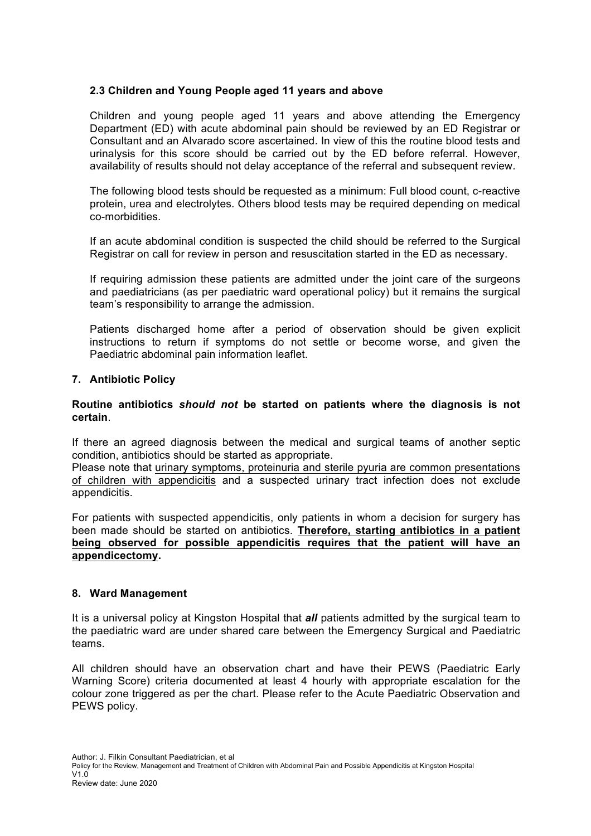#### **2.3 Children and Young People aged 11 years and above**

Children and young people aged 11 years and above attending the Emergency Department (ED) with acute abdominal pain should be reviewed by an ED Registrar or Consultant and an Alvarado score ascertained. In view of this the routine blood tests and urinalysis for this score should be carried out by the ED before referral. However, availability of results should not delay acceptance of the referral and subsequent review.

The following blood tests should be requested as a minimum: Full blood count, c-reactive protein, urea and electrolytes. Others blood tests may be required depending on medical co-morbidities.

If an acute abdominal condition is suspected the child should be referred to the Surgical Registrar on call for review in person and resuscitation started in the ED as necessary.

If requiring admission these patients are admitted under the joint care of the surgeons and paediatricians (as per paediatric ward operational policy) but it remains the surgical team's responsibility to arrange the admission.

Patients discharged home after a period of observation should be given explicit instructions to return if symptoms do not settle or become worse, and given the Paediatric abdominal pain information leaflet.

#### **7. Antibiotic Policy**

#### **Routine antibiotics** *should not* **be started on patients where the diagnosis is not certain**.

If there an agreed diagnosis between the medical and surgical teams of another septic condition, antibiotics should be started as appropriate.

Please note that urinary symptoms, proteinuria and sterile pyuria are common presentations of children with appendicitis and a suspected urinary tract infection does not exclude appendicitis.

For patients with suspected appendicitis, only patients in whom a decision for surgery has been made should be started on antibiotics. **Therefore, starting antibiotics in a patient being observed for possible appendicitis requires that the patient will have an appendicectomy.**

#### **8. Ward Management**

It is a universal policy at Kingston Hospital that *all* patients admitted by the surgical team to the paediatric ward are under shared care between the Emergency Surgical and Paediatric teams.

All children should have an observation chart and have their PEWS (Paediatric Early Warning Score) criteria documented at least 4 hourly with appropriate escalation for the colour zone triggered as per the chart. Please refer to the Acute Paediatric Observation and PEWS policy.

Author: J. Filkin Consultant Paediatrician, et al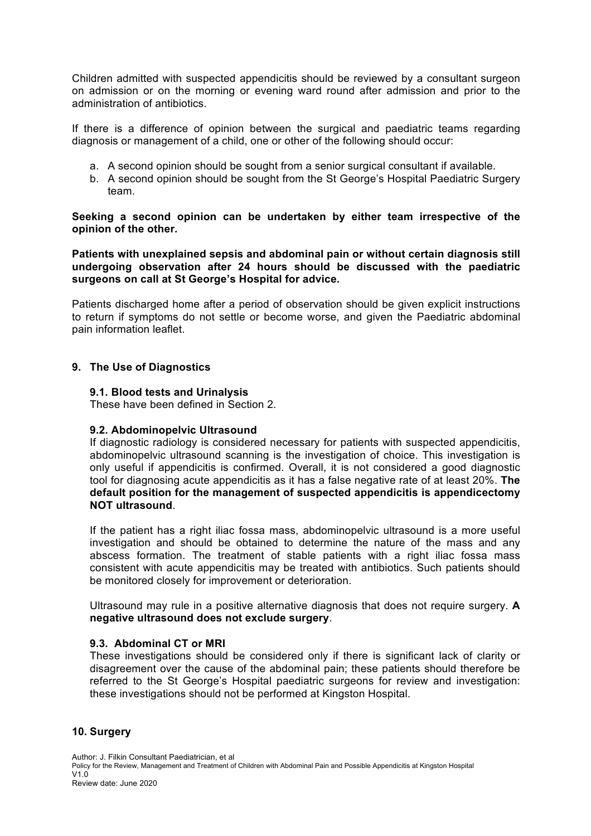Children admitted with suspected appendicitis should be reviewed by a consultant surgeon on admission or on the morning or evening ward round after admission and prior to the administration of antibiotics.

If there is a difference of opinion between the surgical and paediatric teams regarding diagnosis or management of a child, one or other of the following should occur:

- a. A second opinion should be sought from a senior surgical consultant if available.
- b. A second opinion should be sought from the St George's Hospital Paediatric Surgery team.

**Seeking a second opinion can be undertaken by either team irrespective of the opinion of the other.** 

**Patients with unexplained sepsis and abdominal pain or without certain diagnosis still undergoing observation after 24 hours should be discussed with the paediatric surgeons on call at St George's Hospital for advice.**

Patients discharged home after a period of observation should be given explicit instructions to return if symptoms do not settle or become worse, and given the Paediatric abdominal pain information leaflet.

#### **9. The Use of Diagnostics**

#### **9.1. Blood tests and Urinalysis**

These have been defined in Section 2.

#### **9.2. Abdominopelvic Ultrasound**

If diagnostic radiology is considered necessary for patients with suspected appendicitis, abdominopelvic ultrasound scanning is the investigation of choice. This investigation is only useful if appendicitis is confirmed. Overall, it is not considered a good diagnostic tool for diagnosing acute appendicitis as it has a false negative rate of at least 20%. **The default position for the management of suspected appendicitis is appendicectomy NOT ultrasound**.

If the patient has a right iliac fossa mass, abdominopelvic ultrasound is a more useful investigation and should be obtained to determine the nature of the mass and any abscess formation. The treatment of stable patients with a right iliac fossa mass consistent with acute appendicitis may be treated with antibiotics. Such patients should be monitored closely for improvement or deterioration.

Ultrasound may rule in a positive alternative diagnosis that does not require surgery. **A negative ultrasound does not exclude surgery**.

#### **9.3. Abdominal CT or MRI**

These investigations should be considered only if there is significant lack of clarity or disagreement over the cause of the abdominal pain; these patients should therefore be referred to the St George's Hospital paediatric surgeons for review and investigation: these investigations should not be performed at Kingston Hospital.

#### **10. Surgery**

Author: J. Filkin Consultant Paediatrician, et al Policy for the Review, Management and Treatment of Children with Abdominal Pain and Possible Appendicitis at Kingston Hospital  $V1.0$ Review date: June 2020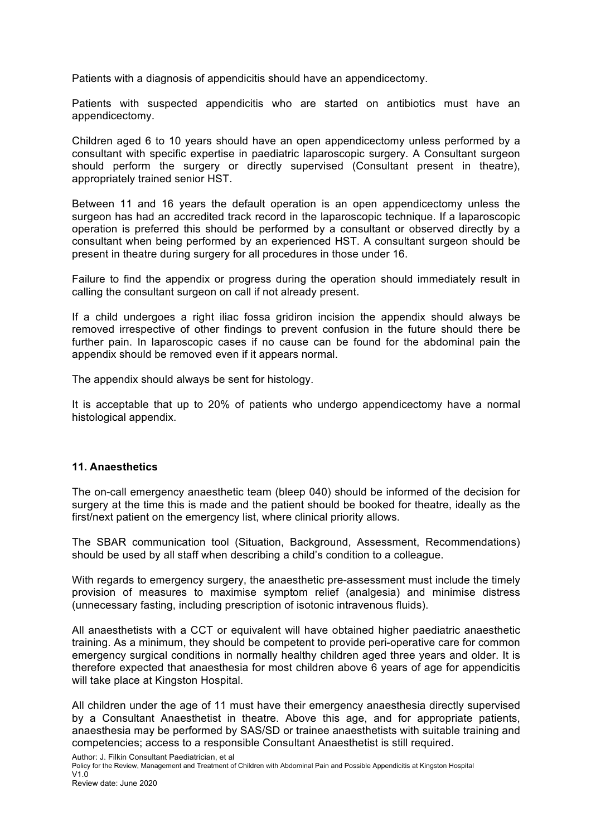Patients with a diagnosis of appendicitis should have an appendicectomy.

Patients with suspected appendicitis who are started on antibiotics must have an appendicectomy.

Children aged 6 to 10 years should have an open appendicectomy unless performed by a consultant with specific expertise in paediatric laparoscopic surgery. A Consultant surgeon should perform the surgery or directly supervised (Consultant present in theatre), appropriately trained senior HST.

Between 11 and 16 years the default operation is an open appendicectomy unless the surgeon has had an accredited track record in the laparoscopic technique. If a laparoscopic operation is preferred this should be performed by a consultant or observed directly by a consultant when being performed by an experienced HST. A consultant surgeon should be present in theatre during surgery for all procedures in those under 16.

Failure to find the appendix or progress during the operation should immediately result in calling the consultant surgeon on call if not already present.

If a child undergoes a right iliac fossa gridiron incision the appendix should always be removed irrespective of other findings to prevent confusion in the future should there be further pain. In laparoscopic cases if no cause can be found for the abdominal pain the appendix should be removed even if it appears normal.

The appendix should always be sent for histology.

It is acceptable that up to 20% of patients who undergo appendicectomy have a normal histological appendix.

#### **11. Anaesthetics**

The on-call emergency anaesthetic team (bleep 040) should be informed of the decision for surgery at the time this is made and the patient should be booked for theatre, ideally as the first/next patient on the emergency list, where clinical priority allows.

The SBAR communication tool (Situation, Background, Assessment, Recommendations) should be used by all staff when describing a child's condition to a colleague.

With regards to emergency surgery, the anaesthetic pre-assessment must include the timely provision of measures to maximise symptom relief (analgesia) and minimise distress (unnecessary fasting, including prescription of isotonic intravenous fluids).

All anaesthetists with a CCT or equivalent will have obtained higher paediatric anaesthetic training. As a minimum, they should be competent to provide peri-operative care for common emergency surgical conditions in normally healthy children aged three years and older. It is therefore expected that anaesthesia for most children above 6 years of age for appendicitis will take place at Kingston Hospital.

All children under the age of 11 must have their emergency anaesthesia directly supervised by a Consultant Anaesthetist in theatre. Above this age, and for appropriate patients, anaesthesia may be performed by SAS/SD or trainee anaesthetists with suitable training and competencies; access to a responsible Consultant Anaesthetist is still required.

Author: J. Filkin Consultant Paediatrician, et al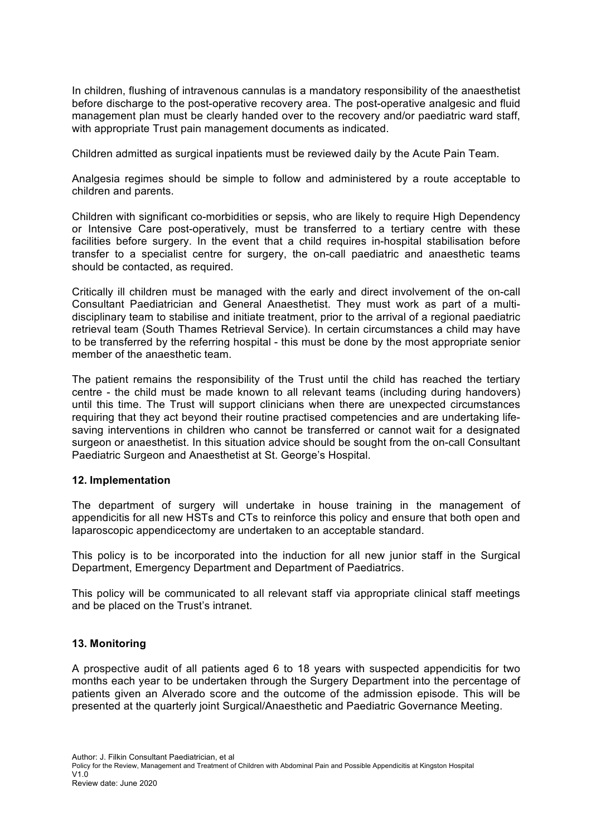In children, flushing of intravenous cannulas is a mandatory responsibility of the anaesthetist before discharge to the post-operative recovery area. The post-operative analgesic and fluid management plan must be clearly handed over to the recovery and/or paediatric ward staff, with appropriate Trust pain management documents as indicated.

Children admitted as surgical inpatients must be reviewed daily by the Acute Pain Team.

Analgesia regimes should be simple to follow and administered by a route acceptable to children and parents.

Children with significant co-morbidities or sepsis, who are likely to require High Dependency or Intensive Care post-operatively, must be transferred to a tertiary centre with these facilities before surgery. In the event that a child requires in-hospital stabilisation before transfer to a specialist centre for surgery, the on-call paediatric and anaesthetic teams should be contacted, as required.

Critically ill children must be managed with the early and direct involvement of the on-call Consultant Paediatrician and General Anaesthetist. They must work as part of a multidisciplinary team to stabilise and initiate treatment, prior to the arrival of a regional paediatric retrieval team (South Thames Retrieval Service). In certain circumstances a child may have to be transferred by the referring hospital - this must be done by the most appropriate senior member of the anaesthetic team.

The patient remains the responsibility of the Trust until the child has reached the tertiary centre - the child must be made known to all relevant teams (including during handovers) until this time. The Trust will support clinicians when there are unexpected circumstances requiring that they act beyond their routine practised competencies and are undertaking lifesaving interventions in children who cannot be transferred or cannot wait for a designated surgeon or anaesthetist. In this situation advice should be sought from the on-call Consultant Paediatric Surgeon and Anaesthetist at St. George's Hospital.

#### **12. Implementation**

The department of surgery will undertake in house training in the management of appendicitis for all new HSTs and CTs to reinforce this policy and ensure that both open and laparoscopic appendicectomy are undertaken to an acceptable standard.

This policy is to be incorporated into the induction for all new junior staff in the Surgical Department, Emergency Department and Department of Paediatrics.

This policy will be communicated to all relevant staff via appropriate clinical staff meetings and be placed on the Trust's intranet.

#### **13. Monitoring**

A prospective audit of all patients aged 6 to 18 years with suspected appendicitis for two months each year to be undertaken through the Surgery Department into the percentage of patients given an Alverado score and the outcome of the admission episode. This will be presented at the quarterly joint Surgical/Anaesthetic and Paediatric Governance Meeting.

Author: J. Filkin Consultant Paediatrician, et al

Policy for the Review, Management and Treatment of Children with Abdominal Pain and Possible Appendicitis at Kingston Hospital V1.0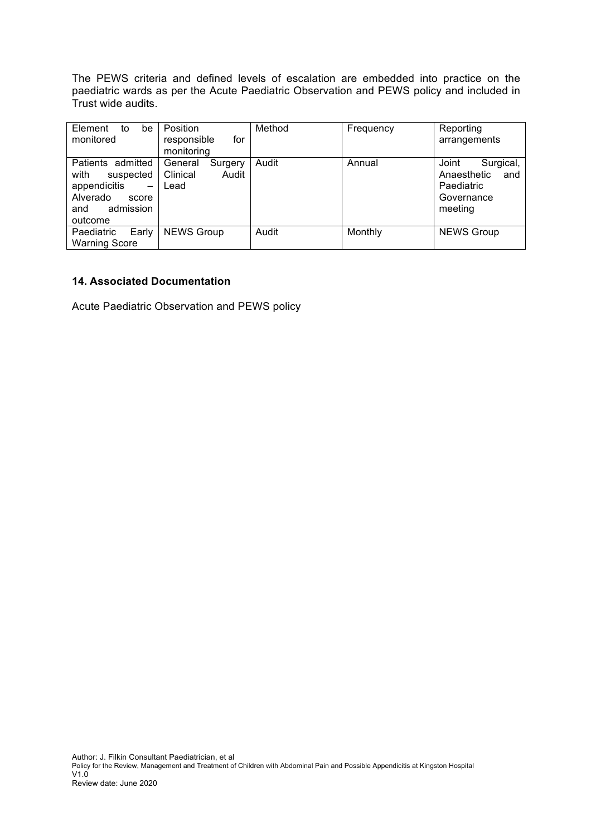The PEWS criteria and defined levels of escalation are embedded into practice on the paediatric wards as per the Acute Paediatric Observation and PEWS policy and included in Trust wide audits.

| Element<br>to<br>be<br>monitored                                                                           | Position<br>responsible<br>for<br>monitoring    | Method | Frequency | Reporting<br>arrangements                                                       |
|------------------------------------------------------------------------------------------------------------|-------------------------------------------------|--------|-----------|---------------------------------------------------------------------------------|
| Patients admitted<br>with<br>suspected<br>appendicitis<br>Alverado<br>score<br>admission<br>and<br>outcome | General<br>Surgery<br>Clinical<br>Audit<br>Lead | Audit  | Annual    | Joint<br>Surgical,<br>Anaesthetic<br>and<br>Paediatric<br>Governance<br>meeting |
| Paediatric<br>Early<br><b>Warning Score</b>                                                                | <b>NEWS Group</b>                               | Audit  | Monthly   | <b>NEWS Group</b>                                                               |

#### **14. Associated Documentation**

Acute Paediatric Observation and PEWS policy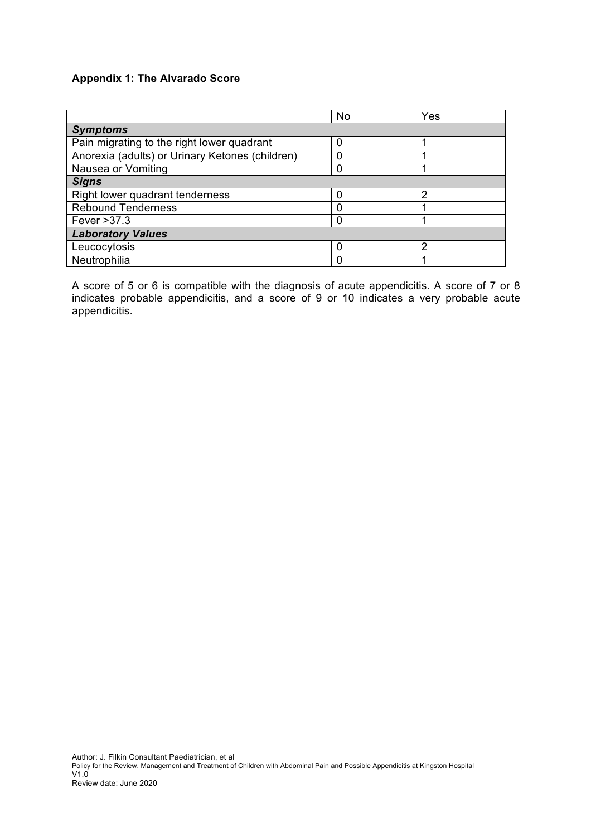#### **Appendix 1: The Alvarado Score**

|                                                 | <b>No</b> | Yes |  |  |  |
|-------------------------------------------------|-----------|-----|--|--|--|
| <b>Symptoms</b>                                 |           |     |  |  |  |
| Pain migrating to the right lower quadrant      | 0         |     |  |  |  |
| Anorexia (adults) or Urinary Ketones (children) | 0         |     |  |  |  |
| Nausea or Vomiting                              | 0         |     |  |  |  |
| <b>Signs</b>                                    |           |     |  |  |  |
| Right lower quadrant tenderness                 | 0         | 2   |  |  |  |
| <b>Rebound Tenderness</b>                       | 0         |     |  |  |  |
| Fever > 37.3                                    | 0         |     |  |  |  |
| <b>Laboratory Values</b>                        |           |     |  |  |  |
| Leucocytosis                                    | 0         | 2   |  |  |  |
| Neutrophilia                                    | 0         |     |  |  |  |

A score of 5 or 6 is compatible with the diagnosis of acute appendicitis. A score of 7 or 8 indicates probable appendicitis, and a score of 9 or 10 indicates a very probable acute appendicitis.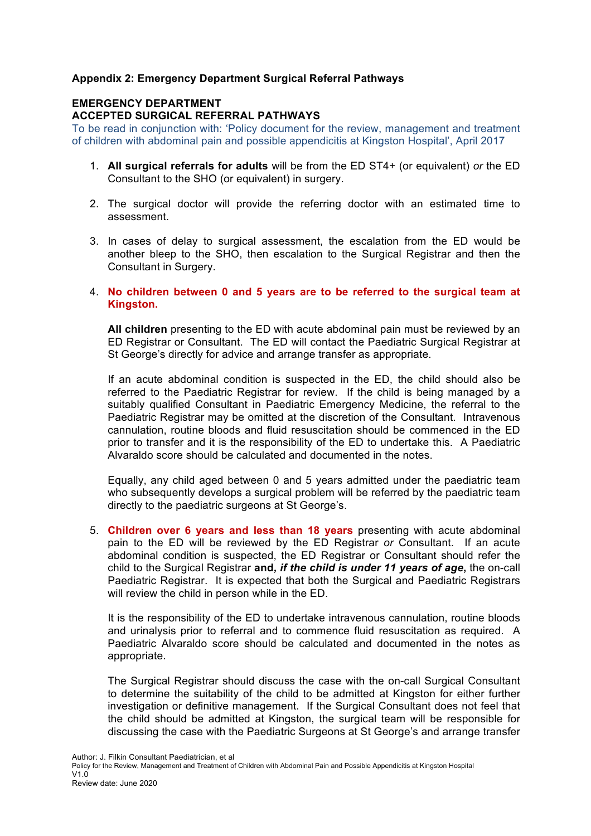#### **Appendix 2: Emergency Department Surgical Referral Pathways**

#### **EMERGENCY DEPARTMENT ACCEPTED SURGICAL REFERRAL PATHWAYS**

To be read in conjunction with: 'Policy document for the review, management and treatment of children with abdominal pain and possible appendicitis at Kingston Hospital', April 2017

- 1. **All surgical referrals for adults** will be from the ED ST4+ (or equivalent) *or* the ED Consultant to the SHO (or equivalent) in surgery.
- 2. The surgical doctor will provide the referring doctor with an estimated time to assessment.
- 3. In cases of delay to surgical assessment, the escalation from the ED would be another bleep to the SHO, then escalation to the Surgical Registrar and then the Consultant in Surgery.
- 4. **No children between 0 and 5 years are to be referred to the surgical team at Kingston.**

**All children** presenting to the ED with acute abdominal pain must be reviewed by an ED Registrar or Consultant. The ED will contact the Paediatric Surgical Registrar at St George's directly for advice and arrange transfer as appropriate.

If an acute abdominal condition is suspected in the ED, the child should also be referred to the Paediatric Registrar for review. If the child is being managed by a suitably qualified Consultant in Paediatric Emergency Medicine, the referral to the Paediatric Registrar may be omitted at the discretion of the Consultant. Intravenous cannulation, routine bloods and fluid resuscitation should be commenced in the ED prior to transfer and it is the responsibility of the ED to undertake this. A Paediatric Alvaraldo score should be calculated and documented in the notes.

Equally, any child aged between 0 and 5 years admitted under the paediatric team who subsequently develops a surgical problem will be referred by the paediatric team directly to the paediatric surgeons at St George's.

5. **Children over 6 years and less than 18 years** presenting with acute abdominal pain to the ED will be reviewed by the ED Registrar *or* Consultant. If an acute abdominal condition is suspected, the ED Registrar or Consultant should refer the child to the Surgical Registrar **and***, if the child is under 11 years of age***,** the on-call Paediatric Registrar. It is expected that both the Surgical and Paediatric Registrars will review the child in person while in the ED.

It is the responsibility of the ED to undertake intravenous cannulation, routine bloods and urinalysis prior to referral and to commence fluid resuscitation as required. A Paediatric Alvaraldo score should be calculated and documented in the notes as appropriate.

The Surgical Registrar should discuss the case with the on-call Surgical Consultant to determine the suitability of the child to be admitted at Kingston for either further investigation or definitive management. If the Surgical Consultant does not feel that the child should be admitted at Kingston, the surgical team will be responsible for discussing the case with the Paediatric Surgeons at St George's and arrange transfer

Author: J. Filkin Consultant Paediatrician, et al